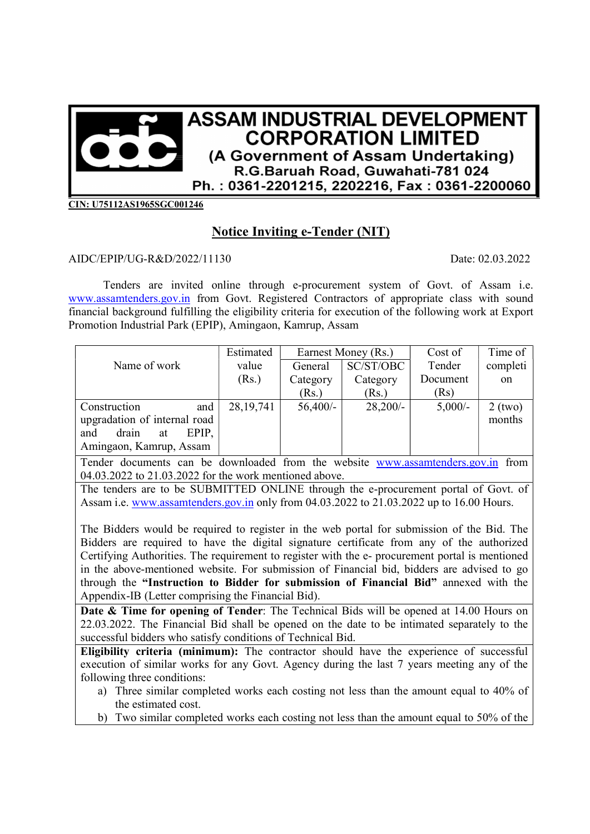

CIN: U75112AS1965SGC001246

## Notice Inviting e-Tender (NIT)

## AIDC/EPIP/UG-R&D/2022/11130 Date: 02.03.2022

Tenders are invited online through e-procurement system of Govt. of Assam i.e. www.assamtenders.gov.in from Govt. Registered Contractors of appropriate class with sound financial background fulfilling the eligibility criteria for execution of the following work at Export Promotion Industrial Park (EPIP), Amingaon, Kamrup, Assam

|                              | Estimated   | Earnest Money (Rs.) |            | Cost of   | Time of   |
|------------------------------|-------------|---------------------|------------|-----------|-----------|
| Name of work                 | value       | General             | SC/ST/OBC  | Tender    | completi  |
|                              | (Rs.)       | Category            | Category   | Document  | on        |
|                              |             | (Rs.)               | (Rs.)      | (Rs)      |           |
| Construction<br>and          | 28, 19, 741 | $56,400/-$          | $28,200/-$ | $5,000/-$ | $2$ (two) |
| upgradation of internal road |             |                     |            |           | months    |
| drain<br>and<br>EPIP,<br>at  |             |                     |            |           |           |
| Amingaon, Kamrup, Assam      |             |                     |            |           |           |

Tender documents can be downloaded from the website www.assamtenders.gov.in from 04.03.2022 to 21.03.2022 for the work mentioned above.

The tenders are to be SUBMITTED ONLINE through the e-procurement portal of Govt. of Assam i.e. www.assamtenders.gov.in only from 04.03.2022 to 21.03.2022 up to 16.00 Hours.

The Bidders would be required to register in the web portal for submission of the Bid. The Bidders are required to have the digital signature certificate from any of the authorized Certifying Authorities. The requirement to register with the e- procurement portal is mentioned in the above-mentioned website. For submission of Financial bid, bidders are advised to go through the "Instruction to Bidder for submission of Financial Bid" annexed with the Appendix-IB (Letter comprising the Financial Bid).

Date & Time for opening of Tender: The Technical Bids will be opened at 14.00 Hours on 22.03.2022. The Financial Bid shall be opened on the date to be intimated separately to the successful bidders who satisfy conditions of Technical Bid.

Eligibility criteria (minimum): The contractor should have the experience of successful execution of similar works for any Govt. Agency during the last 7 years meeting any of the following three conditions:

- a) Three similar completed works each costing not less than the amount equal to 40% of the estimated cost.
- b) Two similar completed works each costing not less than the amount equal to 50% of the